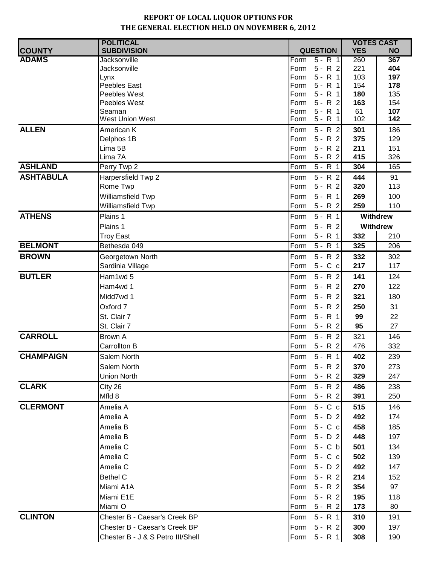|                  | <b>POLITICAL</b>                  |                                        | <b>VOTES CAST</b> |            |
|------------------|-----------------------------------|----------------------------------------|-------------------|------------|
| <b>COUNTY</b>    | <b>SUBDIVISION</b>                | <b>QUESTION</b>                        | <b>YES</b>        | <b>NO</b>  |
| <b>ADAMS</b>     | Jacksonville                      | $5 - R$ 1<br>Form                      | 260               | 367        |
|                  | Jacksonville                      | $5 - R$ 2<br>Form                      | 221               | 404        |
|                  | Lynx<br>Peebles East              | $5 - R$ 1<br>Form<br>$5 - R$ 1<br>Form | 103               | 197<br>178 |
|                  | Peebles West                      | Form<br>$5 - R$ 1                      | 154<br>180        | 135        |
|                  | Peebles West                      | $5 - R$ 2<br>Form                      | 163               | 154        |
|                  | Seaman                            | Form<br>$5 - R$ 1                      | 61                | 107        |
|                  | West Union West                   | $5 - R$ 1<br>Form                      | 102               | 142        |
| <b>ALLEN</b>     | American K                        | $5 - R$ 2<br>Form                      | 301               | 186        |
|                  | Delphos 1B                        | $5 - R$ 2<br>Form                      | 375               | 129        |
|                  | Lima 5B                           | $5 - R$ 2<br>Form                      | 211               | 151        |
|                  | Lima 7A                           | $5 - R$ 2<br>Form                      | 415               | 326        |
| <b>ASHLAND</b>   | Perry Twp 2                       | Form<br>$5 - R$ 1                      | 304               | 165        |
| <b>ASHTABULA</b> | Harpersfield Twp 2                | $5 - R$ 2<br>Form                      | 444               | 91         |
|                  | Rome Twp                          | $5 - R$ 2<br>Form                      | 320               | 113        |
|                  | Williamsfield Twp                 | $5 - R$ 1<br>Form                      | 269               | 100        |
|                  | Williamsfield Twp                 | Form<br>$5 - R$ 2                      | 259               | 110        |
| <b>ATHENS</b>    | Plains 1                          | $5 - R$ 1<br>Form                      |                   | Withdrew   |
|                  | Plains 1                          | $5 - R$ 2<br>Form                      |                   | Withdrew   |
|                  | <b>Troy East</b>                  | $5 - R$ 1<br>Form                      | 332               | 210        |
| <b>BELMONT</b>   | Bethesda 049                      | $5 - R$ 1<br>Form                      | 325               | 206        |
| <b>BROWN</b>     | Georgetown North                  | $5 - R$ 2<br>Form                      | 332               | 302        |
|                  | Sardinia Village                  | $5 - C c$<br>Form                      | 217               | 117        |
| <b>BUTLER</b>    | Ham1wd 5                          | $5 - R$ 2<br>Form                      | 141               | 124        |
|                  | Ham4wd 1                          | $5 - R$ 2<br>Form                      | 270               | 122        |
|                  | Midd7wd 1                         | $5 - R$ 2<br>Form                      | 321               | 180        |
|                  | Oxford 7                          | $5 - R$ 2<br>Form                      | 250               | 31         |
|                  | St. Clair 7                       | $5 - R$ 1<br>Form                      | 99                | 22         |
|                  | St. Clair 7                       | Form<br>$5 - R$ 2                      | 95                | 27         |
| <b>CARROLL</b>   | <b>Brown A</b>                    | $5 - R$ 2<br>Form                      | 321               | 146        |
|                  | Carrollton B                      | $5 - R$ 2<br>Form                      | 476               | 332        |
| <b>CHAMPAIGN</b> | Salem North                       | Form $5 - R$ 1                         | 402               | 239        |
|                  | Salem North                       | Form $5 - R$ 2                         | 370               | 273        |
|                  | Union North                       | Form<br>$5 - R$ 2                      | 329               | 247        |
| <b>CLARK</b>     | City 26                           | $5 - R$ 2<br>Form                      | 486               | 238        |
|                  | Mfld 8                            | $5 - R$ 2<br>Form                      | 391               | 250        |
| <b>CLERMONT</b>  | Amelia A                          | $5 - C c$<br>Form                      | 515               | 146        |
|                  | Amelia A                          | $5 - D$ 2<br>Form                      | 492               | 174        |
|                  | Amelia B                          | $5 - C c$<br>Form                      | 458               | 185        |
|                  | Amelia B                          | $5 - D$ 2<br>Form                      | 448               | 197        |
|                  | Amelia C                          | $5 - C b$<br>Form                      | 501               | 134        |
|                  | Amelia C                          | $5 - C c$<br>Form                      | 502               | 139        |
|                  | Amelia C                          | $5 - D$ 2<br>Form                      | 492               | 147        |
|                  | <b>Bethel C</b>                   | $5 - R$ 2<br>Form                      | 214               | 152        |
|                  | Miami A1A                         | $5 - R$ 2<br>Form                      | 354               | 97         |
|                  | Miami E1E                         | $5 - R$ 2<br>Form                      | 195               | 118        |
|                  | Miami O                           | $5 - R$ 2<br>Form                      | 173               | 80         |
| <b>CLINTON</b>   |                                   |                                        |                   |            |
|                  | Chester B - Caesar's Creek BP     | $5 - R$ 1<br>Form                      | 310               | 191        |
|                  | Chester B - Caesar's Creek BP     | $5 - R$ 2<br>Form                      | 300               | 197        |
|                  | Chester B - J & S Petro III/Shell | Form 5 - R 1                           | 308               | 190        |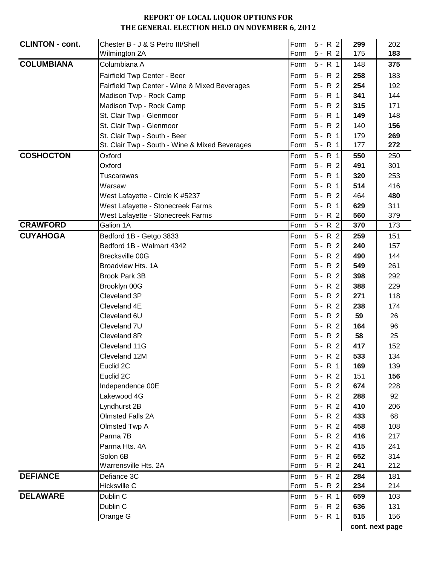| <b>CLINTON - cont.</b> | Chester B - J & S Petro III/Shell              |      | Form $5 - R$ 2 | 299 | 202             |
|------------------------|------------------------------------------------|------|----------------|-----|-----------------|
|                        | Wilmington 2A                                  |      | Form 5 - R 2   | 175 | 183             |
| <b>COLUMBIANA</b>      | Columbiana A                                   |      | Form $5 - R$ 1 | 148 | 375             |
|                        | Fairfield Twp Center - Beer                    |      | Form $5 - R$ 2 | 258 | 183             |
|                        | Fairfield Twp Center - Wine & Mixed Beverages  |      | Form 5 - R 2   | 254 | 192             |
|                        | Madison Twp - Rock Camp                        |      | Form 5 - R 1   | 341 | 144             |
|                        | Madison Twp - Rock Camp                        |      | Form 5 - R 2   | 315 | 171             |
|                        | St. Clair Twp - Glenmoor                       |      | Form 5 - R 1   | 149 | 148             |
|                        | St. Clair Twp - Glenmoor                       | Form | $5 - R$ 2      | 140 | 156             |
|                        | St. Clair Twp - South - Beer                   |      | Form 5 - R 1   | 179 | 269             |
|                        | St. Clair Twp - South - Wine & Mixed Beverages |      | Form 5 - R 1   | 177 | 272             |
| <b>COSHOCTON</b>       | Oxford                                         |      | Form $5 - R$ 1 | 550 | 250             |
|                        | Oxford                                         |      | Form $5 - R$ 2 | 491 | 301             |
|                        | Tuscarawas                                     | Form | $5 - R$ 1      | 320 | 253             |
|                        | Warsaw                                         | Form | $5 - R$ 1      | 514 | 416             |
|                        | West Lafayette - Circle K #5237                | Form | $5 - R$ 2      | 464 | 480             |
|                        | West Lafayette - Stonecreek Farms              | Form | $5 - R$ 1      | 629 | 311             |
|                        | West Lafayette - Stonecreek Farms              | Form | 5 - R 2        | 560 | 379             |
| <b>CRAWFORD</b>        | Galion 1A                                      | Form | $5 - R$ 2      | 370 | 173             |
| <b>CUYAHOGA</b>        | Bedford 1B - Getgo 3833                        | Form | $5 - R$ 2      | 259 | 151             |
|                        | Bedford 1B - Walmart 4342                      | Form | $5 - R$ 2      | 240 | 157             |
|                        | Brecksville 00G                                | Form | $5 - R$ 2      | 490 | 144             |
|                        | Broadview Hts. 1A                              |      | Form $5 - R$ 2 | 549 | 261             |
|                        | <b>Brook Park 3B</b>                           |      | Form $5 - R$ 2 | 398 | 292             |
|                        | Brooklyn 00G                                   |      | Form 5 - R 2   | 388 | 229             |
|                        | Cleveland 3P                                   |      | Form $5 - R$ 2 | 271 | 118             |
|                        | Cleveland 4E                                   |      | Form $5 - R$ 2 | 238 | 174             |
|                        | Cleveland 6U                                   | Form | $5 - R$ 2      | 59  | 26              |
|                        | Cleveland 7U                                   |      | Form 5 - R 2   | 164 | 96              |
|                        | Cleveland 8R                                   |      | Form 5 - R 2   | 58  | 25              |
|                        | Cleveland 11G                                  |      | Form 5 - R 2   | 417 | 152             |
|                        | Cleveland 12M                                  |      | Form 5 - R 2   | 533 | 134             |
|                        | Euclid 2C                                      |      | Form 5 - R 1   | 169 | 139             |
|                        | Euclid 2C                                      |      | Form 5 - R 2   | 151 | 156             |
|                        | Independence 00E                               |      | Form 5 - R 2   | 674 | 228             |
|                        | Lakewood 4G                                    |      | Form $5 - R$ 2 | 288 | 92              |
|                        | Lyndhurst 2B                                   |      | Form 5 - R 2   | 410 | 206             |
|                        | <b>Olmsted Falls 2A</b>                        |      | Form 5 - R 2   | 433 | 68              |
|                        | Olmsted Twp A                                  |      | Form $5 - R$ 2 | 458 | 108             |
|                        | Parma 7B                                       |      | Form 5 - R 2   | 416 | 217             |
|                        | Parma Hts. 4A                                  |      | Form 5 - R 2   | 415 | 241             |
|                        | Solon 6B                                       |      | Form $5 - R$ 2 | 652 | 314             |
|                        | Warrensville Hts. 2A                           |      | Form 5 - R 2   | 241 | 212             |
| <b>DEFIANCE</b>        | Defiance 3C                                    |      | Form $5 - R$ 2 | 284 | 181             |
|                        | Hicksville C                                   |      | Form 5 - R 2   | 234 | 214             |
| <b>DELAWARE</b>        | Dublin C                                       |      | Form 5 - R 1   | 659 | 103             |
|                        | Dublin C                                       |      | Form 5 - R 2   | 636 | 131             |
|                        | Orange G                                       |      | Form 5 - R 1   | 515 | 156             |
|                        |                                                |      |                |     | cont. next page |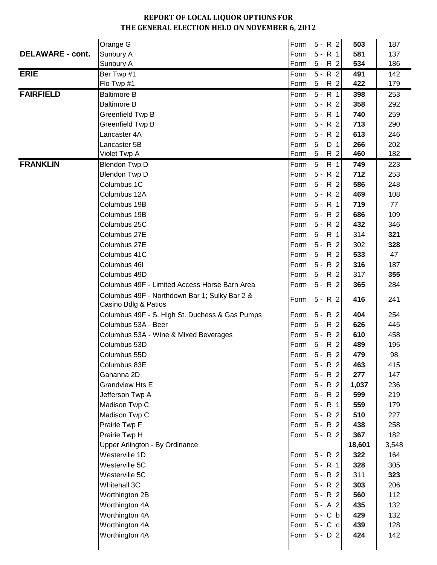|                         | Orange G                                                              |      | Form 5 - R 2   | 503    | 187   |
|-------------------------|-----------------------------------------------------------------------|------|----------------|--------|-------|
| <b>DELAWARE - cont.</b> | Sunbury A                                                             | Form | $5 - R$ 1      | 581    | 137   |
|                         | Sunbury A                                                             | Form | $5 - R$ 2      | 534    | 186   |
| <b>ERIE</b>             | Ber Twp #1                                                            | Form | $5 - R$ 2      | 491    | 142   |
|                         | Flo Twp #1                                                            | Form | $5 - R$ 2      | 422    | 179   |
| <b>FAIRFIELD</b>        | <b>Baltimore B</b>                                                    | Form | $5 - R$ 1      | 398    | 253   |
|                         | <b>Baltimore B</b>                                                    | Form | $5 - R$ 2      | 358    | 292   |
|                         | Greenfield Twp B                                                      | Form | $5 - R$ 1      | 740    | 259   |
|                         | Greenfield Twp B                                                      | Form | $5 - R$ 2      | 713    | 290   |
|                         | Lancaster 4A                                                          | Form | $5 - R$ 2      | 613    | 246   |
|                         | Lancaster 5B                                                          | Form | $5 - D 1$      | 266    | 202   |
|                         | Violet Twp A                                                          | Form | $5 - R$ 2      | 460    | 182   |
| <b>FRANKLIN</b>         | Blendon Twp D                                                         | Form | $5 - R$ 1      | 749    | 223   |
|                         | Blendon Twp D                                                         | Form | $5 - R$ 2      | 712    | 253   |
|                         | Columbus 1C                                                           | Form | $5 - R$ 2      | 586    | 248   |
|                         | Columbus 12A                                                          | Form | $5 - R$ 2      | 469    | 108   |
|                         | Columbus 19B                                                          |      | Form 5 - R 1   | 719    | 77    |
|                         | Columbus 19B                                                          | Form | $5 - R$ 2      | 686    | 109   |
|                         | Columbus 25C                                                          | Form | $5 - R$ 2      | 432    | 346   |
|                         | Columbus 27E                                                          |      | Form 5 - R 1   | 314    | 321   |
|                         | Columbus 27E                                                          | Form | $5 - R$ 2      | 302    | 328   |
|                         | Columbus 41C                                                          |      | Form 5 - R 2   | 533    | 47    |
|                         | Columbus 46I                                                          |      | Form 5 - R 2   | 316    | 187   |
|                         | Columbus 49D                                                          | Form | $5 - R$ 2      | 317    | 355   |
|                         | Columbus 49F - Limited Access Horse Barn Area                         | Form | $5 - R$ 2      | 365    | 284   |
|                         | Columbus 49F - Northdown Bar 1; Sulky Bar 2 &<br>Casino Bdlg & Patios | Form | $5 - R$ 2      | 416    | 241   |
|                         | Columbus 49F - S. High St. Duchess & Gas Pumps                        | Form | $5 - R$ 2      | 404    | 254   |
|                         | Columbus 53A - Beer                                                   | Form | $5 - R$ 2      | 626    | 445   |
|                         | Columbus 53A - Wine & Mixed Beverages                                 | Form | $5 - R$ 2      | 610    | 458   |
|                         | Columbus 53D                                                          |      | Form 5 - R 2   | 489    | 195   |
|                         | Columbus 55D                                                          |      | Form $5 - R$ 2 | 479    | 98    |
|                         | Columbus 83E                                                          |      | Form 5 - R 2   | 463    | 415   |
|                         | Gahanna 2D                                                            |      | Form 5 - R 2   | 277    | 147   |
|                         | <b>Grandview Hts E</b>                                                |      | Form 5 - R 2   | 1,037  | 236   |
|                         | Jefferson Twp A                                                       | Form | $5 - R$ 2      | 599    | 219   |
|                         | Madison Twp C                                                         |      | Form 5 - R 1   | 559    | 179   |
|                         | Madison Twp C                                                         |      | Form 5 - R 2   | 510    | 227   |
|                         | Prairie Twp F                                                         |      | Form 5 - R 2   | 438    | 258   |
|                         | Prairie Twp H                                                         | Form | $5 - R$ 2      | 367    | 182   |
|                         | Upper Arlington - By Ordinance                                        |      |                | 18,601 | 3,548 |
|                         | Westerville 1D                                                        | Form | $5 - R$ 2      | 322    | 164   |
|                         | Westerville 5C                                                        |      | Form 5 - R 1   | 328    | 305   |
|                         | Westerville 5C                                                        |      | Form 5 - R 2   | 311    | 323   |
|                         | Whitehall 3C                                                          | Form | $5 - R$ 2      | 303    | 206   |
|                         | Worthington 2B                                                        | Form | $5 - R$ 2      | 560    | 112   |
|                         | Worthington 4A                                                        | Form | $5 - A$ 2      | 435    | 132   |
|                         | Worthington 4A                                                        | Form | $5 - C b$      | 429    | 132   |
|                         | Worthington 4A                                                        |      | Form 5 - C c   | 439    | 128   |
|                         | Worthington 4A                                                        | Form | $5 - D$ 2      | 424    | 142   |
|                         |                                                                       |      |                |        |       |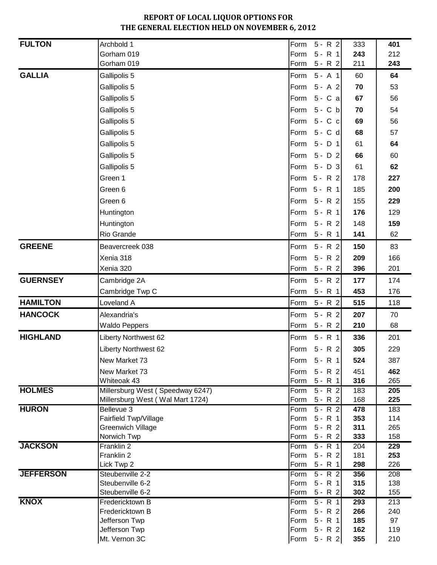| <b>FULTON</b>    | Archbold 1                           | Form 5 - R 2                           | 333        | 401              |
|------------------|--------------------------------------|----------------------------------------|------------|------------------|
|                  | Gorham 019                           | $5 - R$ 1<br>Form                      | 243        | 212              |
|                  | Gorham 019                           | $5 - R$ 2<br>Form                      | 211        | 243              |
| <b>GALLIA</b>    | Gallipolis 5                         | Form<br>$5 - A$ 1                      | 60         | 64               |
|                  | Gallipolis 5                         | Form<br>$5 - A$ 2                      | 70         | 53               |
|                  | Gallipolis 5                         | Form<br>5 - C a                        | 67         | 56               |
|                  | Gallipolis 5                         | $5 - C b$<br>Form                      | 70         | 54               |
|                  | Gallipolis 5                         | Form 5 - C c                           | 69         | 56               |
|                  | Gallipolis 5                         | Form 5 - C d                           | 68         | 57               |
|                  | Gallipolis 5                         | Form<br>$5 - D$ 1                      | 61         | 64               |
|                  | Gallipolis 5                         | Form 5 - D 2                           | 66         | 60               |
|                  | Gallipolis 5                         | Form 5 - D 3                           | 61         | 62               |
|                  | Green 1                              | Form 5 - R 2                           | 178        | 227              |
|                  | Green 6                              | Form 5 - R 1                           | 185        | 200              |
|                  | Green 6                              | Form 5 - R 2                           | 155        | 229              |
|                  | Huntington                           | Form 5 - R 1                           | 176        | 129              |
|                  | Huntington                           | Form 5 - R 2                           | 148        | 159              |
|                  | Rio Grande                           | Form 5 - R 1                           | 141        | 62               |
| <b>GREENE</b>    | Beavercreek 038                      | $5 - R$ 2<br>Form                      | 150        | 83               |
|                  | Xenia 318                            | Form 5 - R 2                           | 209        | 166              |
|                  | Xenia 320                            | Form<br>$5 - R$ 2                      | 396        | 201              |
| <b>GUERNSEY</b>  | Cambridge 2A                         | $5 - R$ 2<br>Form                      | 177        | 174              |
|                  | Cambridge Twp C                      | $5 - R$ 1<br>Form                      | 453        | 176              |
| <b>HAMILTON</b>  | Loveland A                           | Form<br>$5 - R$ 2                      | 515        | 118              |
| <b>HANCOCK</b>   | Alexandria's                         | $5 - R$ 2<br>Form                      | 207        | 70               |
|                  | <b>Waldo Peppers</b>                 | $5 - R$ 2<br>Form                      | 210        | 68               |
| <b>HIGHLAND</b>  | Liberty Northwest 62                 | $5 - R$ 1<br>Form                      | 336        | 201              |
|                  | <b>Liberty Northwest 62</b>          | Form 5 - R 2                           | 305        | 229              |
|                  | New Market 73                        | Form<br>$5 - R$ 1                      | 524        | 387              |
|                  | New Market 73                        | $5 - R$ 2<br>Form                      | 451        | 462              |
|                  | Whiteoak 43                          | $5 - R$ 1<br>Form                      | 316        | 265              |
| <b>HOLMES</b>    | Millersburg West (Speedway 6247)     | $5 - R$ 2<br>Form                      | 183        | 205              |
|                  | Millersburg West (Wal Mart 1724)     | Form 5 - R 2                           | 168        | 225              |
| <b>HURON</b>     | Bellevue 3<br>Fairfield Twp/Village  | $5 - R$ 2<br>Form<br>$5 - R$ 1<br>Form | 478<br>353 | 183<br>114       |
|                  | <b>Greenwich Village</b>             | $5 - R$ 2<br>Form                      | 311        | 265              |
|                  | Norwich Twp                          | Form<br>$5 - R$ 2                      | 333        | 158              |
| <b>JACKSON</b>   | Franklin 2                           | $\overline{5}$ - R 1<br>Form           | 204        | 229              |
|                  | Franklin 2                           | $5 - R$ 2<br>Form                      | 181        | 253              |
|                  | Lick Twp 2                           | $5 - R$ 1<br>Form                      | 298        | 226              |
| <b>JEFFERSON</b> | Steubenville 2-2<br>Steubenville 6-2 | $5 - R$ 2<br>Form<br>$5 - R$ 1<br>Form | 356<br>315 | 208<br>138       |
|                  | Steubenville 6-2                     | Form<br>$5 - R$ 2                      | 302        | 155              |
| <b>KNOX</b>      | Fredericktown B                      | $5 - R$ 1<br>Form                      | 293        | $\overline{213}$ |
|                  | Fredericktown B                      | $5 - R$ 2<br>Form                      | 266        | 240              |
|                  | Jefferson Twp                        | $5 - R$ 1<br>Form                      | 185        | 97               |
|                  | Jefferson Twp                        | $5 - R$ 2<br>Form                      | 162        | 119              |
|                  | Mt. Vernon 3C                        | Form<br>$5 - R$ 2                      | 355        | 210              |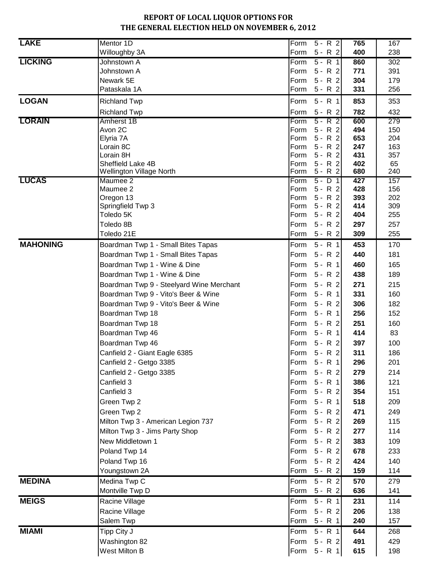| <b>LAKE</b>     | Mentor 1D<br>Willoughby 3A               | $5 - R$ 2<br>Form<br>$5 - R$ 2<br>Form | 765<br>400 | 167<br>238 |
|-----------------|------------------------------------------|----------------------------------------|------------|------------|
| <b>LICKING</b>  | Johnstown A                              | $5 - R$ 1<br>Form                      | 860        | 302        |
|                 | Johnstown A                              | $5 - R$ 2<br>Form                      | 771        | 391        |
|                 | Newark 5E                                | $5 - R$ 2<br>Form                      | 304        | 179        |
|                 | Pataskala 1A                             | $5 - R$ 2<br>Form                      | 331        | 256        |
| <b>LOGAN</b>    | <b>Richland Twp</b>                      | $5 - R$ 1<br>Form                      | 853        | 353        |
|                 | <b>Richland Twp</b>                      | Form<br>$5 - R$ 2                      | 782        | 432        |
| <b>LORAIN</b>   | Amherst 1B                               | $5 - R$ 2<br>Form                      | 600        | 279        |
|                 | Avon 2C                                  | $5 - R$ 2<br>Form                      | 494        | 150        |
|                 | Elyria 7A                                | $5 - R$ 2<br>Form                      | 653        | 204        |
|                 | Lorain 8C<br>Lorain 8H                   | $5 - R$ 2<br>Form<br>$5 - R$ 2<br>Form | 247<br>431 | 163<br>357 |
|                 | Sheffield Lake 4B                        | $5 - R$ 2<br>Form                      | 402        | 65         |
|                 | Wellington Village North                 | $5 - R$ 2<br>Form                      | 680        | 240        |
| <b>LUCAS</b>    | Maumee 2                                 | $5 - D$ 1<br>Form                      | 427        | 157        |
|                 | Maumee 2                                 | Form<br>$5 - R$ 2                      | 428        | 156        |
|                 | Oregon 13                                | $5 - R$ 2<br>Form                      | 393        | 202        |
|                 | Springfield Twp 3<br>Toledo 5K           | $5 - R$ 2<br>Form<br>$5 - R$ 2<br>Form | 414<br>404 | 309<br>255 |
|                 | Toledo 8B                                | $5 - R$ 2<br>Form                      | 297        | 257        |
|                 | Toledo 21E                               | $5 - R$ 2<br>Form                      | 309        | 255        |
| <b>MAHONING</b> | Boardman Twp 1 - Small Bites Tapas       | $5 - R$ 1<br>Form                      | 453        | 170        |
|                 | Boardman Twp 1 - Small Bites Tapas       | $5 - R$ 2<br>Form                      | 440        | 181        |
|                 | Boardman Twp 1 - Wine & Dine             | $5 - R$ 1<br>Form                      | 460        | 165        |
|                 | Boardman Twp 1 - Wine & Dine             | $5 - R$ 2<br>Form                      | 438        | 189        |
|                 | Boardman Twp 9 - Steelyard Wine Merchant | $5 - R$ 2<br>Form                      | 271        | 215        |
|                 | Boardman Twp 9 - Vito's Beer & Wine      | $5 - R$ 1<br>Form                      | 331        | 160        |
|                 | Boardman Twp 9 - Vito's Beer & Wine      | $5 - R$ 2<br>Form                      | 306        | 182        |
|                 | Boardman Twp 18                          | Form<br>$5 - R$ 1                      | 256        | 152        |
|                 | Boardman Twp 18                          | $5 - R$ 2<br>Form                      | 251        | 160        |
|                 | Boardman Twp 46                          | $5 - R$ 1<br>Form                      | 414        | 83         |
|                 | Boardman Twp 46                          | $5 - R$ 2<br>Form                      | 397        | 100        |
|                 | Canfield 2 - Giant Eagle 6385            | Form 5 - R 2                           | 311        | 186        |
|                 | Canfield 2 - Getgo 3385                  | $5 - R$ 1<br>Form                      | 296        | 201        |
|                 | Canfield 2 - Getgo 3385                  | $5 - R$ 2<br>Form                      | 279        | 214        |
|                 | Canfield 3                               | Form 5 - R 1                           | 386        | 121        |
|                 | Canfield 3                               | Form 5 - R 2                           | 354        | 151        |
|                 | Green Twp 2                              | $5 - R$ 1<br>Form                      | 518        | 209        |
|                 | Green Twp 2                              | Form<br>$5 - R$ 2                      | 471        | 249        |
|                 | Milton Twp 3 - American Legion 737       | Form 5 - R 2                           | 269        | 115        |
|                 | Milton Twp 3 - Jims Party Shop           | $5 - R$ 2<br>Form                      | 277        | 114        |
|                 | New Middletown 1                         | Form 5 - R 2                           | 383        | 109        |
|                 | Poland Twp 14                            | $5 - R$ 2<br>Form                      | 678        | 233        |
|                 | Poland Twp 16                            | $5 - R$ 2<br>Form                      | 424        | 140        |
|                 | Youngstown 2A                            | $5 - R$ 2<br>Form                      | 159        | 114        |
| <b>MEDINA</b>   | Medina Twp C                             | $5 - R$ 2<br>Form                      | 570        | 279        |
|                 | Montville Twp D                          | $5 - R$ 2<br>Form                      | 636        | 141        |
| <b>MEIGS</b>    | Racine Village                           | $5 - R$ 1<br>Form                      | 231        | 114        |
|                 | Racine Village                           | $5 - R$ 2<br>Form                      | 206        | 138        |
|                 | Salem Twp                                | $5 - R$ 1<br>Form                      | 240        | 157        |
| <b>MIAMI</b>    | Tipp City J                              | $5 - R$ 1<br>Form                      | 644        | 268        |
|                 | Washington 82                            | $5 - R$ 2<br>Form                      | 491        | 429        |
|                 | West Milton B                            | $5 - R 1$<br>Form                      | 615        | 198        |
|                 |                                          |                                        |            |            |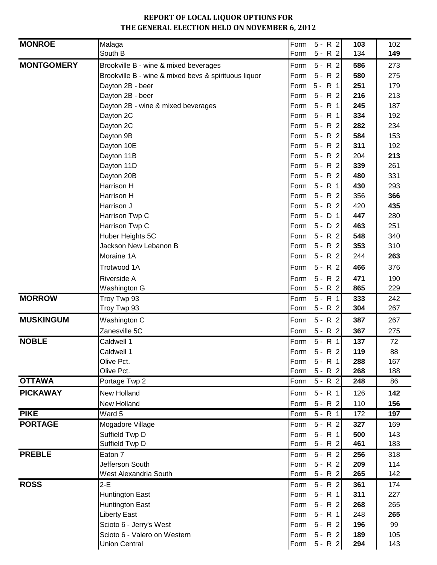| <b>MONROE</b>     | Malaga                                               |      | Form 5 - R 2   | 103 | 102 |
|-------------------|------------------------------------------------------|------|----------------|-----|-----|
|                   | South B                                              | Form | $5 - R$ 2      | 134 | 149 |
| <b>MONTGOMERY</b> | Brookville B - wine & mixed beverages                | Form | $5 - R$ 2      | 586 | 273 |
|                   | Brookville B - wine & mixed bevs & spirituous liquor | Form | $5 - R$ 2      | 580 | 275 |
|                   | Dayton 2B - beer                                     |      | Form 5 - R 1   | 251 | 179 |
|                   | Dayton 2B - beer                                     | Form | $5 - R$ 2      | 216 | 213 |
|                   | Dayton 2B - wine & mixed beverages                   | Form | $5 - R$ 1      | 245 | 187 |
|                   | Dayton 2C                                            | Form | $5 - R$ 1      | 334 | 192 |
|                   | Dayton 2C                                            | Form | $5 - R$ 2      | 282 | 234 |
|                   | Dayton 9B                                            | Form | $5 - R$ 2      | 584 | 153 |
|                   | Dayton 10E                                           |      | Form 5 - R 2   | 311 | 192 |
|                   | Dayton 11B                                           |      | Form 5 - R 2   | 204 | 213 |
|                   | Dayton 11D                                           | Form | $5 - R$ 2      | 339 | 261 |
|                   | Dayton 20B                                           | Form | $5 - R$ 2      | 480 | 331 |
|                   | Harrison H                                           | Form | $5 - R$ 1      | 430 | 293 |
|                   | Harrison H                                           | Form | $5 - R$ 2      | 356 | 366 |
|                   | Harrison J                                           | Form | $5 - R$ 2      | 420 | 435 |
|                   | Harrison Twp C                                       | Form | $5 - D$ 1      | 447 | 280 |
|                   | Harrison Twp C                                       | Form | $5 - D$ 2      | 463 | 251 |
|                   | Huber Heights 5C                                     | Form | $5 - R$ 2      | 548 | 340 |
|                   | Jackson New Lebanon B                                | Form | $5 - R$ 2      | 353 | 310 |
|                   | Moraine 1A                                           | Form | $5 - R$ 2      | 244 | 263 |
|                   | Trotwood 1A                                          | Form | $5 - R$ 2      | 466 | 376 |
|                   | Riverside A                                          | Form | $5 - R$ 2      | 471 | 190 |
|                   | Washington G                                         | Form | $5 - R$ 2      | 865 | 229 |
| <b>MORROW</b>     | Troy Twp 93                                          | Form | $5 - R$ 1      | 333 | 242 |
|                   | Troy Twp 93                                          | Form | $5 - R$ 2      | 304 | 267 |
| <b>MUSKINGUM</b>  | Washington C                                         | Form | $5 - R$ 2      | 387 | 267 |
|                   | Zanesville 5C                                        | Form | $5 - R$ 2      | 367 | 275 |
| <b>NOBLE</b>      | Caldwell 1                                           | Form | $5 - R$ 1      | 137 | 72  |
|                   | Caldwell 1                                           | Form | $5 - R$ 2      | 119 | 88  |
|                   | Olive Pct.                                           |      | Form 5 - R 1   | 288 | 167 |
|                   | Olive Pct.                                           | Form | $5 - R$ 2      | 268 | 188 |
| <b>OTTAWA</b>     | Portage Twp 2                                        | Form | $5 - R$ 2      | 248 | 86  |
| <b>PICKAWAY</b>   | New Holland                                          | Form | $5 - R$ 1      | 126 | 142 |
|                   | New Holland                                          | Form | $5 - R$ 2      | 110 | 156 |
| <b>PIKE</b>       | Ward 5                                               | Form | $5 - R$ 1      | 172 | 197 |
| <b>PORTAGE</b>    | Mogadore Village                                     | Form | $5 - R$ 2      | 327 | 169 |
|                   | Suffield Twp D                                       | Form | $5 - R$ 1      | 500 | 143 |
|                   | Suffield Twp D                                       | Form | $5 - R$ 2      | 461 | 183 |
| <b>PREBLE</b>     | Eaton 7                                              | Form | $5 - R$ 2      | 256 | 318 |
|                   | Jefferson South                                      | Form | $5 - R$ 2      | 209 | 114 |
|                   | West Alexandria South                                | Form | $5 - R$ 2      | 265 | 142 |
| <b>ROSS</b>       | $2-E$                                                | Form | $5 - R$ 2      | 361 | 174 |
|                   | <b>Huntington East</b>                               |      | Form 5 - R 1   | 311 | 227 |
|                   | <b>Huntington East</b>                               | Form | $5 - R$ 2      | 268 | 265 |
|                   | <b>Liberty East</b>                                  | Form | $5 - R$ 1      | 248 | 265 |
|                   | Scioto 6 - Jerry's West                              | Form | $5 - R$ 2      | 196 | 99  |
|                   | Scioto 6 - Valero on Western                         | Form | $5 - R$ 2      | 189 | 105 |
|                   | <b>Union Central</b>                                 |      | Form $5 - R$ 2 | 294 | 143 |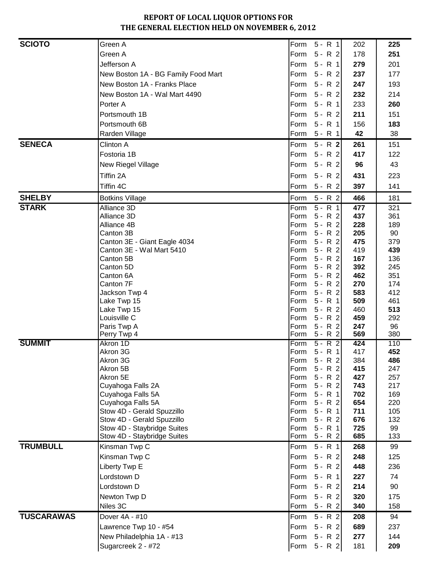| <b>SCIOTO</b>     | Green A                             | Form<br>$5 - R$ 1                      | 202        | 225        |
|-------------------|-------------------------------------|----------------------------------------|------------|------------|
|                   | Green A                             | $5 - R$ 2<br>Form                      | 178        | 251        |
|                   | Jefferson A                         | $5 - R$ 1<br>Form                      | 279        | 201        |
|                   | New Boston 1A - BG Family Food Mart | $5 - R$ 2<br>Form                      | 237        | 177        |
|                   | New Boston 1A - Franks Place        | $5 - R$ 2<br>Form                      | 247        | 193        |
|                   | New Boston 1A - Wal Mart 4490       | Form<br>$5 - R$ 2                      | 232        | 214        |
|                   | Porter A                            | $5 - R$ 1<br>Form                      | 233        | 260        |
|                   |                                     |                                        |            |            |
|                   | Portsmouth 1B                       | $5 - R$ 2<br>Form                      | 211        | 151        |
|                   | Portsmouth 6B                       | Form<br>$5 - R$ 1                      | 156        | 183        |
|                   | Rarden Village                      | $5 - R$ 1<br>Form                      | 42         | 38         |
| <b>SENECA</b>     | Clinton A                           | $5 - R$ 2<br>Form                      | 261        | 151        |
|                   | Fostoria 1B                         | $5 - R$ 2<br>Form                      | 417        | 122        |
|                   | New Riegel Village                  | $5 - R$ 2<br>Form                      | 96         | 43         |
|                   | Tiffin 2A                           | $5 - R$ 2<br>Form                      | 431        | 223        |
|                   | Tiffin 4C                           | Form<br>$5 - R$ 2                      | 397        | 141        |
| <b>SHELBY</b>     | <b>Botkins Village</b>              | $5 - R$ 2<br>Form                      | 466        | 181        |
| <b>STARK</b>      | Alliance 3D                         | $5 - R$ 1<br>Form                      | 477        | 321        |
|                   | Alliance 3D                         | $5 - R$ 2<br>Form                      | 437        | 361        |
|                   | Alliance 4B                         | $5 - R$ 2<br>Form                      | 228        | 189        |
|                   | Canton 3B                           | $5 - R$ 2<br>Form                      | 205        | 90         |
|                   | Canton 3E - Giant Eagle 4034        | $5 - R$ 2<br>Form                      | 475        | 379        |
|                   | Canton 3E - Wal Mart 5410           | $5 - R$ 2<br>Form                      | 419        | 439        |
|                   | Canton 5B                           | $5 - R$ 2<br>Form                      | 167        | 136        |
|                   | Canton 5D                           | $5 - R$ 2<br>Form                      | 392        | 245        |
|                   | Canton 6A                           | $5 - R$ 2<br>Form                      | 462        | 351        |
|                   | Canton 7F<br>Jackson Twp 4          | $5 - R$ 2<br>Form<br>$5 - R$ 2<br>Form | 270<br>583 | 174<br>412 |
|                   | Lake Twp 15                         | $5 - R 1$<br>Form                      | 509        | 461        |
|                   | Lake Twp 15                         | $5 - R$ 2<br>Form                      | 460        | 513        |
|                   | Louisville C                        | $5 - R$ 2<br>Form                      | 459        | 292        |
|                   | Paris Twp A                         | $5 - R$ 2<br>Form                      | 247        | 96         |
|                   | Perry Twp 4                         | $5 - R$ 2<br>Form                      | 569        | 380        |
| <b>SUMMIT</b>     | Akron 1D                            | $5 - R$ 2<br>Form                      | 424        | 110        |
|                   | Akron 3G                            | $5 - R$ 1<br>Form                      | 417        | 452        |
|                   | Akron 3G                            | Form 5 - R 2                           | 384        | 486        |
|                   | Akron 5B<br>Akron 5E                | $5 - R$ 2<br>Form<br>Form 5 - R 2      | 415<br>427 | 247<br>257 |
|                   | Cuyahoga Falls 2A                   | $5 - R$ 2<br>Form                      | 743        | 217        |
|                   | Cuyahoga Falls 5A                   | $5 - R$ 1<br>Form                      | 702        | 169        |
|                   | Cuyahoga Falls 5A                   | $5 - R$ 2<br>Form                      | 654        | 220        |
|                   | Stow 4D - Gerald Spuzzillo          | $5 - R$ 1<br>Form                      | 711        | 105        |
|                   | Stow 4D - Gerald Spuzzillo          | $5 - R$ 2<br>Form                      | 676        | 132        |
|                   | Stow 4D - Staybridge Suites         | $5 - R$ 1<br>Form                      | 725        | 99         |
|                   | Stow 4D - Staybridge Suites         | $5 - R$ 2<br>Form                      | 685        | 133        |
| <b>TRUMBULL</b>   | Kinsman Twp C                       | $5 - R$ 1<br>Form                      | 268        | 99         |
|                   | Kinsman Twp C                       | $5 - R$ 2<br>Form                      | 248        | 125        |
|                   | Liberty Twp E                       | $5 - R$ 2<br>Form                      | 448        | 236        |
|                   | Lordstown D                         | $5 - R$ 1<br>Form                      | 227        | 74         |
|                   | Lordstown D                         | $5 - R$ 2<br>Form                      | 214        | 90         |
|                   | Newton Twp D                        | $5 - R$ 2<br>Form                      | 320        | 175        |
|                   | Niles 3C                            | $5 - R$ 2<br>Form                      | 340        | 158        |
| <b>TUSCARAWAS</b> | Dover 4A - #10                      | $5 - R$ 2<br>Form                      | 208        | 94         |
|                   | Lawrence Twp 10 - #54               | $5 - R$ 2<br>Form                      | 689        | 237        |
|                   | New Philadelphia 1A - #13           | $5 - R$ 2<br>Form                      | 277        | 144        |
|                   | Sugarcreek 2 - #72                  | $5 - R$ 2<br>Form                      | 181        | 209        |
|                   |                                     |                                        |            |            |